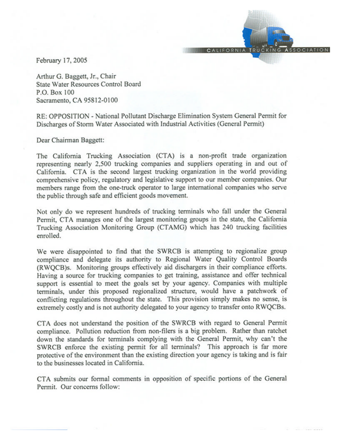February 17, 2005

Arthur G. Baggett, Jr., Chair State Water Resources Control Board P.O. Box 100 Sacramento, CA 95812-0100

RE: OPPOSITION - National Pollutant Discharge Elimination System General Permit for Discharges of Storm Water Associated with Industrial Activities (General Permit)

**CALIFORNIA TRU** 

Dear Chairman Baggett:

The California Trucking Association (CTA) is a non-profit trade organization representing nearly 2,500 trucking companies and suppliers operating in and out of California. CTA is the second largest trucking organization in the world providing comprehensive policy, regulatory and legislative support to our member companies. Our members range from the one-truck operator to large international companies who serve the public through safe and efficient goods movement.

Not only do we represent hundreds of trucking terminals who fall under the General Permit, CTA manages one of the largest monitoring groups in the state, the California Trucking Association Monitoring Group (CTAMG) which has 240 trucking facilities enrolled.

We were disappointed to find that the SWRCB is attempting to regionalize group compliance and delegate its authority to Regional Water Quality Control Boards (RWQCB)s. Monitoring groups effectively aid dischargers in their compliance efforts. Having a source for trucking companies to get training, assistance and offer technical support is essential to meet the goals set by your agency. Companies with multiple terminals, under this proposed regionalized structure, would have a patchwork of conflicting regulations throughout the state. This provision simply makes no sense, is extremely costly and is not authority delegated to your agency to transfer onto RWQCBs.

CTA does not understand the position of the SWRCB with regard to General Permit compliance. Pollution reduction from non-filers is a big problem. Rather than ratchet down the standards for terminals complying with the General Permit, why can't the SWRCB enforce the existing permit for all terminals? This approach is far more protective of the environment than the existing direction your agency is taking and is fair to the businesses located in California.

CTA submits our formal comments in opposition of specific portions of the General Permit. Our concerns follow: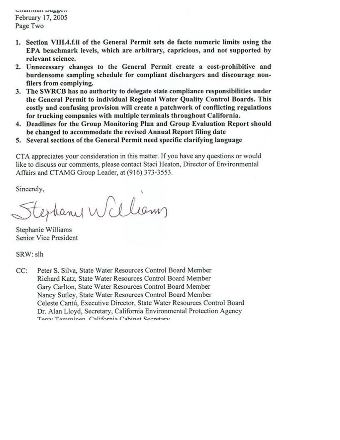Channian Daggen February 17, 2005 Page Two

- 1. Section VIII.4.f.ii of the General Permit sets de facto numeric limits using the EPA benchmark levels, which are arbitrary, capricious, and not supported by relevant science.
- 2. Unnecessary changes to the General Permit create a cost-prohibitive and burdensome sampling schedule for compliant dischargers and discourage nonfilers from complying.
- 3. The SWRCB has no authority to delegate state compliance responsibilities under the General Permit to individual Regional Water Quality Control Boards. This costly and confusing provision will create a patchwork of conflicting regulations for trucking companies with multiple terminals throughout California.
- 4. Deadlines for the Group Monitoring Plan and Group Evaluation Report should be changed to accommodate the revised Annual Report filing date
- 5. Several sections of the General Permit need specific clarifying language

CTA appreciates your consideration in this matter. If you have any questions or would like to discuss our comments, please contact Staci Heaton, Director of Environmental Affairs and CTAMG Group Leader, at (916) 373-3553.

Sincerely,

extrany William

Stephanie Williams Senior Vice President

SRW: slh

Peter S. Silva, State Water Resources Control Board Member  $CC:$ Richard Katz, State Water Resources Control Board Member Gary Carlton, State Water Resources Control Board Member Nancy Sutley, State Water Resources Control Board Member Celeste Cantú, Executive Director, State Water Resources Control Board Dr. Alan Lloyd, Secretary, California Environmental Protection Agency Terry Tomminen Colifornia Cohinet Secretary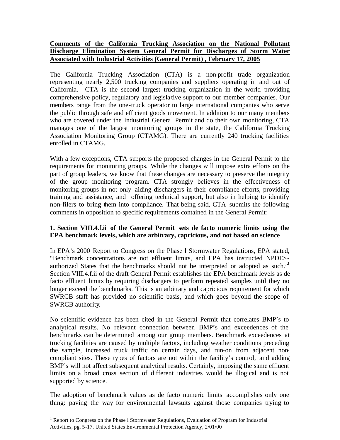# **Comments of the California Trucking Association on the National Pollutant Discharge Elimination System General Permit for Discharges of Storm Water Associated with Industrial Activities (General Permit) , February 17, 2005**

The California Trucking Association (CTA) is a non-profit trade organization representing nearly 2,500 trucking companies and suppliers operating in and out of California. CTA is the second largest trucking organization in the world providing comprehensive policy, regulatory and legisla tive support to our member companies. Our members range from the one-truck operator to large international companies who serve the public through safe and efficient goods movement. In addition to our many members who are covered under the Industrial General Permit and do their own monitoring, CTA manages one of the largest monitoring groups in the state, the California Trucking Association Monitoring Group (CTAMG). There are currently 240 trucking facilities enrolled in CTAMG.

With a few exceptions, CTA supports the proposed changes in the General Permit to the requirements for monitoring groups. While the changes will impose extra efforts on the part of group leaders, we know that these changes are necessary to preserve the integrity of the group monitoring program. CTA strongly believes in the effectiveness of monitoring groups in not only aiding dischargers in their compliance efforts, providing training and assistance, and offering technical support, but also in helping to identify non-filers to bring them into compliance. That being said, CTA submits the following comments in opposition to specific requirements contained in the General Permit:

# **1. Section VIII.4.f.ii of the General Permit sets de facto numeric limits using the EPA benchmark levels, which are arbitrary, capricious, and not based on science**

In EPA's 2000 Report to Congress on the Phase l Stormwater Regulations, EPA stated, "Benchmark concentrations are not effluent limits, and EPA has instructed NPDESauthorized States that the benchmarks should not be interpreted or adopted as such."<sup>1</sup> Section VIII.4.f.ii of the draft General Permit establishes the EPA benchmark levels as de facto effluent limits by requiring dischargers to perform repeated samples until they no longer exceed the benchmarks. This is an arbitrary and capricious requirement for which SWRCB staff has provided no scientific basis, and which goes beyond the scope of SWRCB authority.

No scientific evidence has been cited in the General Permit that correlates BMP's to analytical results. No relevant connection between BMP's and exceedences of the benchmarks can be determined among our group members. Benchmark exceedences at trucking facilities are caused by multiple factors, including weather conditions preceding the sample, increased truck traffic on certain days, and run-on from adjacent noncompliant sites. These types of factors are not within the facility's control, and adding BMP's will not affect subsequent analytical results. Certainly, imposing the same effluent limits on a broad cross section of different industries would be illogical and is not supported by science.

The adoption of benchmark values as de facto numeric limits accomplishes only one thing: paving the way for environmental lawsuits against those companies trying to

 $\overline{a}$ 

<sup>&</sup>lt;sup>1</sup> Report to Congress on the Phase 1 Stormwater Regulations, Evaluation of Program for Industrial Activities, pg. 5-17. United States Environmental Protection Agency, 2/01/00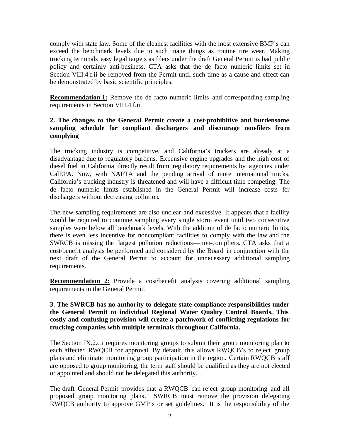comply with state law. Some of the cleanest facilities with the most extensive BMP's can exceed the benchmark levels due to such inane things as routine tire wear. Making trucking terminals easy legal targets as filers under the draft General Permit is bad public policy and certainly anti-business. CTA asks that the de facto numeric limits set in Section VIII.4.f.ii be removed from the Permit until such time as a cause and effect can be demonstrated by basic scientific principles.

**Recommendation 1:** Remove the de facto numeric limits and corresponding sampling requirements in Section VIII.4.f.ii.

# **2. The changes to the General Permit create a cost-prohibitive and burdensome sampling schedule for compliant dischargers and discourage non-filers from complying**

The trucking industry is competitive, and California's truckers are already at a disadvantage due to regulatory burdens. Expensive engine upgrades and the high cost of diesel fuel in California directly result from regulatory requirements by agencies under CalEPA. Now, with NAFTA and the pending arrival of more international trucks, California's trucking industry is threatened and will have a difficult time competing. The de facto numeric limits established in the General Permit will increase costs for dischargers without decreasing pollution.

The new sampling requirements are also unclear and excessive. It appears that a facility would be required to continue sampling every single storm event until two consecutive samples were below all benchmark levels. With the addition of de facto numeric limits, there is even less incentive for noncompliant facilities to comply with the law and the SWRCB is missing the largest pollution reductions—non-compliers. CTA asks that a cost/benefit analysis be performed and considered by the Board in conjunction with the next draft of the General Permit to account for unnecessary additional sampling requirements.

**Recommendation 2:** Provide a cost/benefit analysis covering additional sampling requirements in the General Permit.

### **3. The SWRCB has no authority to delegate state compliance responsibilities under the General Permit to individual Regional Water Quality Control Boards. This costly and confusing provision will create a patchwork of conflicting regulations for trucking companies with multiple terminals throughout California.**

The Section IX.2.c.i requires monitoring groups to submit their group monitoring plan to each affected RWQCB for approval. By default, this allows RWQCB's to reject group plans and eliminate monitoring group participation in the region. Certain RWQCB staff are opposed to group monitoring, the term staff should be qualified as they are not elected or appointed and should not be delegated this authority.

The draft General Permit provides that a RWQCB can reject group monitoring and all proposed group monitoring plans. SWRCB must remove the provision delegating RWQCB authority to approve GMP's or set guidelines. It is the responsibility of the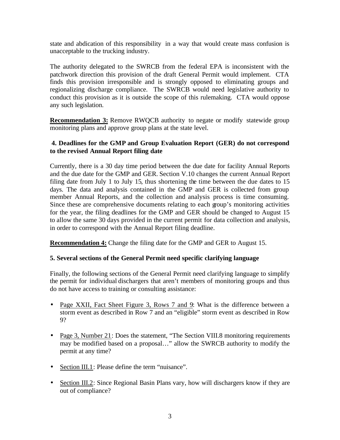state and abdication of this responsibility in a way that would create mass confusion is unacceptable to the trucking industry.

The authority delegated to the SWRCB from the federal EPA is inconsistent with the patchwork direction this provision of the draft General Permit would implement. CTA finds this provision irresponsible and is strongly opposed to eliminating groups and regionalizing discharge compliance. The SWRCB would need legislative authority to conduct this provision as it is outside the scope of this rulemaking. CTA would oppose any such legislation.

**Recommendation 3:** Remove RWQCB authority to negate or modify statewide group monitoring plans and approve group plans at the state level.

# **4. Deadlines for the GMP and Group Evaluation Report (GER) do not correspond to the revised Annual Report filing date**

Currently, there is a 30 day time period between the due date for facility Annual Reports and the due date for the GMP and GER. Section V.10 changes the current Annual Report filing date from July 1 to July 15, thus shortening the time between the due dates to 15 days. The data and analysis contained in the GMP and GER is collected from group member Annual Reports, and the collection and analysis process is time consuming. Since these are comprehensive documents relating to each group's monitoring activities for the year, the filing deadlines for the GMP and GER should be changed to August 15 to allow the same 30 days provided in the current permit for data collection and analysis, in order to correspond with the Annual Report filing deadline.

**Recommendation 4:** Change the filing date for the GMP and GER to August 15.

# **5. Several sections of the General Permit need specific clarifying language**

Finally, the following sections of the General Permit need clarifying language to simplify the permit for individual dischargers that aren't members of monitoring groups and thus do not have access to training or consulting assistance:

- Page XXII, Fact Sheet Figure 3, Rows 7 and 9: What is the difference between a storm event as described in Row 7 and an "eligible" storm event as described in Row 9?
- Page 3, Number 21: Does the statement, "The Section VIII.8 monitoring requirements may be modified based on a proposal…" allow the SWRCB authority to modify the permit at any time?
- Section III.1: Please define the term "nuisance".
- Section III.2: Since Regional Basin Plans vary, how will dischargers know if they are out of compliance?